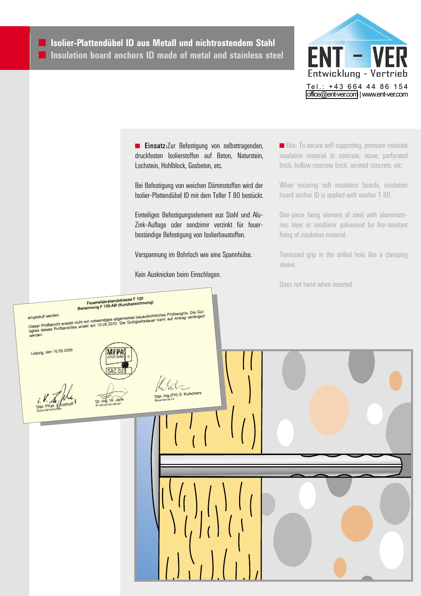

**Einsatz:**Zur Befestigung von selbsttragenden, druckfesten Isolierstoffen auf Beton, Naturstein, Lochstein, Hohlblock, Gasbeton, etc.

Bei Befestigung von weichen Dämmstoffen wird der Isolier-Plattendübel ID mit dem Teller T 80 bestückt.

Einteiliges Befestigungselement aus Stahl und Alu-Zink-Auflage oder sendzimir verzinkt für feuerbeständige Befestigung von Isolierbaustoffen.

Verspannung im Bohrloch wie eine Spannhülse. Kein Ausknicken beim Einschlagen.

■ Use: To secure self-supporting, pressure-resistant insulation material to concrete, stone, perforated brick, hollow concrete brick, aerated concrete, etc.

When securing soft insulation boards, insulation board anchor ID is applied with washer T 80.

One-piece fixing element of steel with aluminiumzinc layer or sendzimir galvanized for fire-resistant fixing of insulation material.

Tensioned grip in the drilled hole like a clamping sleeve.

Does not bend when inserted.